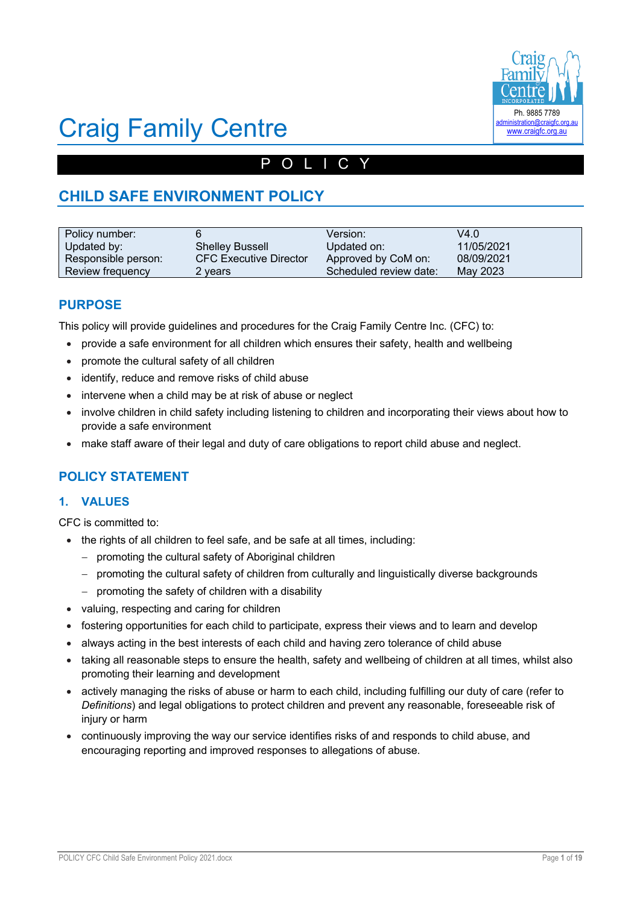

# Craig Family Centre

# POLICY

# **CHILD SAFE ENVIRONMENT POLICY**

| Policy number:      |                               | Version:               | V4.0       |
|---------------------|-------------------------------|------------------------|------------|
| Updated by:         | <b>Shelley Bussell</b>        | Updated on:            | 11/05/2021 |
| Responsible person: | <b>CFC Executive Director</b> | Approved by CoM on:    | 08/09/2021 |
| Review frequency    | 2 vears                       | Scheduled review date: | May 2023   |

## **PURPOSE**

This policy will provide guidelines and procedures for the Craig Family Centre Inc. (CFC) to:

- provide a safe environment for all children which ensures their safety, health and wellbeing
- promote the cultural safety of all children
- identify, reduce and remove risks of child abuse
- intervene when a child may be at risk of abuse or neglect
- involve children in child safety including listening to children and incorporating their views about how to provide a safe environment
- make staff aware of their legal and duty of care obligations to report child abuse and neglect.

## **POLICY STATEMENT**

#### **1. VALUES**

CFC is committed to:

- the rights of all children to feel safe, and be safe at all times, including:
	- promoting the cultural safety of Aboriginal children
	- promoting the cultural safety of children from culturally and linguistically diverse backgrounds
	- promoting the safety of children with a disability
- valuing, respecting and caring for children
- fostering opportunities for each child to participate, express their views and to learn and develop
- always acting in the best interests of each child and having zero tolerance of child abuse
- taking all reasonable steps to ensure the health, safety and wellbeing of children at all times, whilst also promoting their learning and development
- actively managing the risks of abuse or harm to each child, including fulfilling our duty of care (refer to *Definitions*) and legal obligations to protect children and prevent any reasonable, foreseeable risk of injury or harm
- continuously improving the way our service identifies risks of and responds to child abuse, and encouraging reporting and improved responses to allegations of abuse.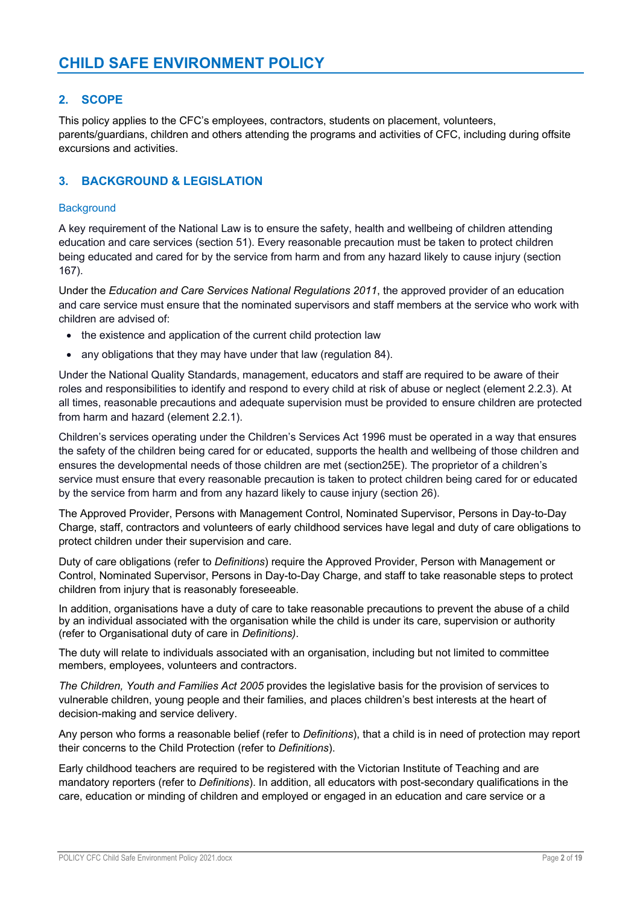## **2. SCOPE**

This policy applies to the CFC's employees, contractors, students on placement, volunteers, parents/guardians, children and others attending the programs and activities of CFC, including during offsite excursions and activities.

### **3. BACKGROUND & LEGISLATION**

#### **Background**

A key requirement of the National Law is to ensure the safety, health and wellbeing of children attending education and care services (section 51). Every reasonable precaution must be taken to protect children being educated and cared for by the service from harm and from any hazard likely to cause injury (section 167).

Under the *Education and Care Services National Regulations 2011*, the approved provider of an education and care service must ensure that the nominated supervisors and staff members at the service who work with children are advised of:

- the existence and application of the current child protection law
- any obligations that they may have under that law (regulation 84).

Under the National Quality Standards, management, educators and staff are required to be aware of their roles and responsibilities to identify and respond to every child at risk of abuse or neglect (element 2.2.3). At all times, reasonable precautions and adequate supervision must be provided to ensure children are protected from harm and hazard (element 2.2.1).

Children's services operating under the Children's Services Act 1996 must be operated in a way that ensures the safety of the children being cared for or educated, supports the health and wellbeing of those children and ensures the developmental needs of those children are met (section25E). The proprietor of a children's service must ensure that every reasonable precaution is taken to protect children being cared for or educated by the service from harm and from any hazard likely to cause injury (section 26).

The Approved Provider, Persons with Management Control, Nominated Supervisor, Persons in Day-to-Day Charge, staff, contractors and volunteers of early childhood services have legal and duty of care obligations to protect children under their supervision and care.

Duty of care obligations (refer to *Definitions*) require the Approved Provider, Person with Management or Control, Nominated Supervisor, Persons in Day-to-Day Charge, and staff to take reasonable steps to protect children from injury that is reasonably foreseeable.

In addition, organisations have a duty of care to take reasonable precautions to prevent the abuse of a child by an individual associated with the organisation while the child is under its care, supervision or authority (refer to Organisational duty of care in *Definitions)*.

The duty will relate to individuals associated with an organisation, including but not limited to committee members, employees, volunteers and contractors.

*The Children, Youth and Families Act 2005* provides the legislative basis for the provision of services to vulnerable children, young people and their families, and places children's best interests at the heart of decision-making and service delivery.

Any person who forms a reasonable belief (refer to *Definitions*), that a child is in need of protection may report their concerns to the Child Protection (refer to *Definitions*).

Early childhood teachers are required to be registered with the Victorian Institute of Teaching and are mandatory reporters (refer to *Definitions*). In addition, all educators with post-secondary qualifications in the care, education or minding of children and employed or engaged in an education and care service or a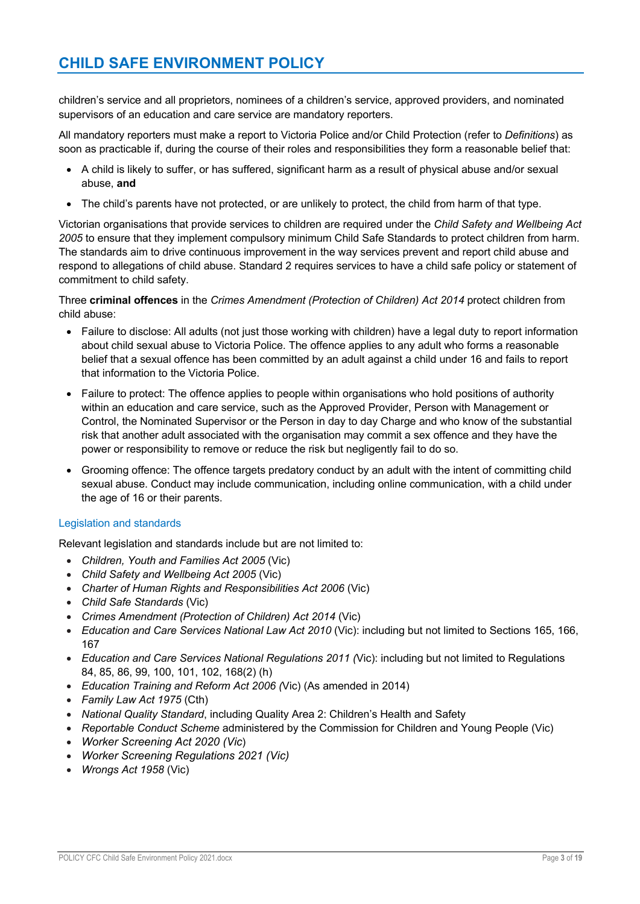children's service and all proprietors, nominees of a children's service, approved providers, and nominated supervisors of an education and care service are mandatory reporters.

All mandatory reporters must make a report to Victoria Police and/or Child Protection (refer to *Definitions*) as soon as practicable if, during the course of their roles and responsibilities they form a reasonable belief that:

- A child is likely to suffer, or has suffered, significant harm as a result of physical abuse and/or sexual abuse, **and**
- The child's parents have not protected, or are unlikely to protect, the child from harm of that type.

Victorian organisations that provide services to children are required under the *Child Safety and Wellbeing Act 2005* to ensure that they implement compulsory minimum Child Safe Standards to protect children from harm. The standards aim to drive continuous improvement in the way services prevent and report child abuse and respond to allegations of child abuse. Standard 2 requires services to have a child safe policy or statement of commitment to child safety.

Three **criminal offences** in the *Crimes Amendment (Protection of Children) Act 2014* protect children from child abuse:

- Failure to disclose: All adults (not just those working with children) have a legal duty to report information about child sexual abuse to Victoria Police. The offence applies to any adult who forms a reasonable belief that a sexual offence has been committed by an adult against a child under 16 and fails to report that information to the Victoria Police.
- Failure to protect: The offence applies to people within organisations who hold positions of authority within an education and care service, such as the Approved Provider, Person with Management or Control, the Nominated Supervisor or the Person in day to day Charge and who know of the substantial risk that another adult associated with the organisation may commit a sex offence and they have the power or responsibility to remove or reduce the risk but negligently fail to do so.
- Grooming offence: The offence targets predatory conduct by an adult with the intent of committing child sexual abuse. Conduct may include communication, including online communication, with a child under the age of 16 or their parents.

#### Legislation and standards

Relevant legislation and standards include but are not limited to:

- *Children, Youth and Families Act 2005* (Vic)
- *Child Safety and Wellbeing Act 2005* (Vic)
- *Charter of Human Rights and Responsibilities Act 2006* (Vic)
- *Child Safe Standards* (Vic)
- *Crimes Amendment (Protection of Children) Act 2014* (Vic)
- *Education and Care Services National Law Act 2010* (Vic): including but not limited to Sections 165, 166, 167
- *Education and Care Services National Regulations 2011 (*Vic): including but not limited to Regulations 84, 85, 86, 99, 100, 101, 102, 168(2) (h)
- *Education Training and Reform Act 2006 (*Vic) (As amended in 2014)
- *Family Law Act 1975* (Cth)
- *National Quality Standard*, including Quality Area 2: Children's Health and Safety
- *Reportable Conduct Scheme* administered by the Commission for Children and Young People (Vic)
- *Worker Screening Act 2020 (Vic*)
- *Worker Screening Regulations 2021 (Vic)*
- *Wrongs Act 1958* (Vic)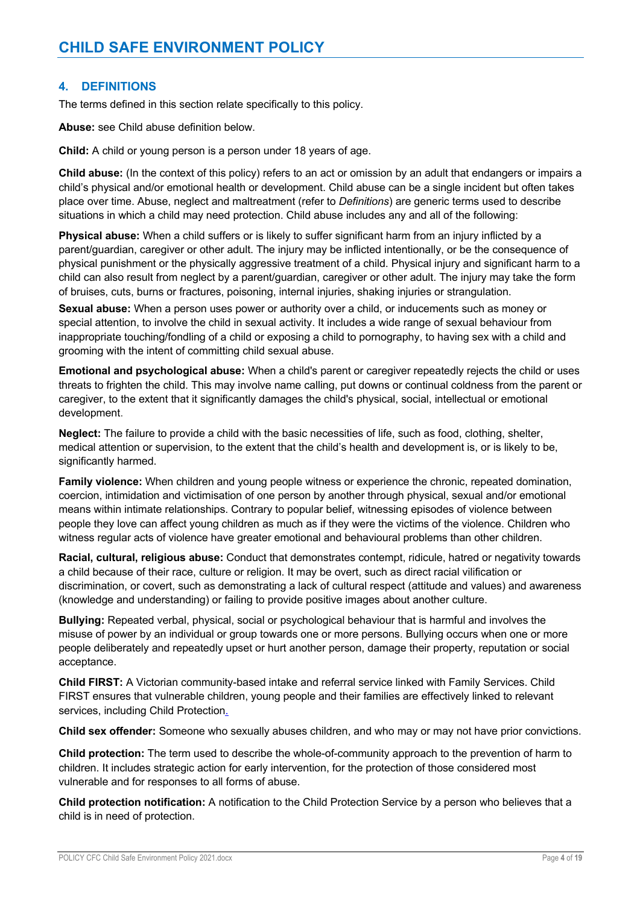#### **4. DEFINITIONS**

The terms defined in this section relate specifically to this policy.

**Abuse:** see Child abuse definition below.

**Child:** A child or young person is a person under 18 years of age.

**Child abuse:** (In the context of this policy) refers to an act or omission by an adult that endangers or impairs a child's physical and/or emotional health or development. Child abuse can be a single incident but often takes place over time. Abuse, neglect and maltreatment (refer to *Definitions*) are generic terms used to describe situations in which a child may need protection. Child abuse includes any and all of the following:

**Physical abuse:** When a child suffers or is likely to suffer significant harm from an injury inflicted by a parent/guardian, caregiver or other adult. The injury may be inflicted intentionally, or be the consequence of physical punishment or the physically aggressive treatment of a child. Physical injury and significant harm to a child can also result from neglect by a parent/guardian, caregiver or other adult. The injury may take the form of bruises, cuts, burns or fractures, poisoning, internal injuries, shaking injuries or strangulation.

**Sexual abuse:** When a person uses power or authority over a child, or inducements such as money or special attention, to involve the child in sexual activity. It includes a wide range of sexual behaviour from inappropriate touching/fondling of a child or exposing a child to pornography, to having sex with a child and grooming with the intent of committing child sexual abuse.

**Emotional and psychological abuse:** When a child's parent or caregiver repeatedly rejects the child or uses threats to frighten the child. This may involve name calling, put downs or continual coldness from the parent or caregiver, to the extent that it significantly damages the child's physical, social, intellectual or emotional development.

**Neglect:** The failure to provide a child with the basic necessities of life, such as food, clothing, shelter, medical attention or supervision, to the extent that the child's health and development is, or is likely to be, significantly harmed.

**Family violence:** When children and young people witness or experience the chronic, repeated domination, coercion, intimidation and victimisation of one person by another through physical, sexual and/or emotional means within intimate relationships. Contrary to popular belief, witnessing episodes of violence between people they love can affect young children as much as if they were the victims of the violence. Children who witness regular acts of violence have greater emotional and behavioural problems than other children.

**Racial, cultural, religious abuse:** Conduct that demonstrates contempt, ridicule, hatred or negativity towards a child because of their race, culture or religion. It may be overt, such as direct racial vilification or discrimination, or covert, such as demonstrating a lack of cultural respect (attitude and values) and awareness (knowledge and understanding) or failing to provide positive images about another culture.

**Bullying:** Repeated verbal, physical, social or psychological behaviour that is harmful and involves the misuse of power by an individual or group towards one or more persons. Bullying occurs when one or more people deliberately and repeatedly upset or hurt another person, damage their property, reputation or social acceptance.

**Child FIRST:** A Victorian community-based intake and referral service linked with Family Services. Child FIRST ensures that vulnerable children, young people and their families are effectively linked to relevant services, including Child Protection.

**Child sex offender:** Someone who sexually abuses children, and who may or may not have prior convictions.

**Child protection:** The term used to describe the whole-of-community approach to the prevention of harm to children. It includes strategic action for early intervention, for the protection of those considered most vulnerable and for responses to all forms of abuse.

**Child protection notification:** A notification to the Child Protection Service by a person who believes that a child is in need of protection.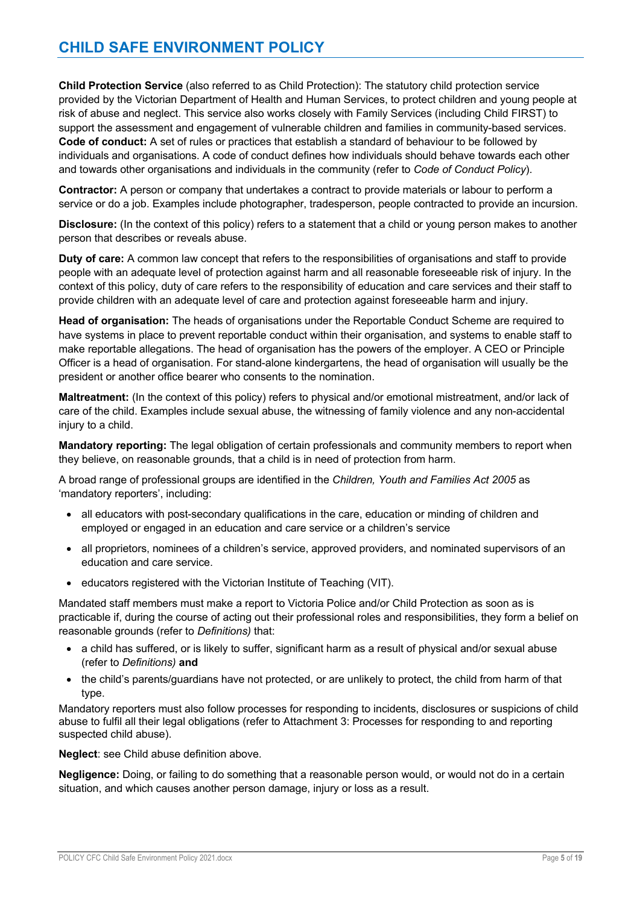**Child Protection Service** (also referred to as Child Protection): The statutory child protection service provided by the Victorian Department of Health and Human Services, to protect children and young people at risk of abuse and neglect. This service also works closely with Family Services (including Child FIRST) to support the assessment and engagement of vulnerable children and families in community-based services. **Code of conduct:** A set of rules or practices that establish a standard of behaviour to be followed by individuals and organisations. A code of conduct defines how individuals should behave towards each other and towards other organisations and individuals in the community (refer to *Code of Conduct Policy*).

**Contractor:** A person or company that undertakes a contract to provide materials or labour to perform a service or do a job. Examples include photographer, tradesperson, people contracted to provide an incursion.

**Disclosure:** (In the context of this policy) refers to a statement that a child or young person makes to another person that describes or reveals abuse.

**Duty of care:** A common law concept that refers to the responsibilities of organisations and staff to provide people with an adequate level of protection against harm and all reasonable foreseeable risk of injury. In the context of this policy, duty of care refers to the responsibility of education and care services and their staff to provide children with an adequate level of care and protection against foreseeable harm and injury.

**Head of organisation:** The heads of organisations under the Reportable Conduct Scheme are required to have systems in place to prevent reportable conduct within their organisation, and systems to enable staff to make reportable allegations. The head of organisation has the powers of the employer. A CEO or Principle Officer is a head of organisation. For stand-alone kindergartens, the head of organisation will usually be the president or another office bearer who consents to the nomination.

**Maltreatment:** (In the context of this policy) refers to physical and/or emotional mistreatment, and/or lack of care of the child. Examples include sexual abuse, the witnessing of family violence and any non-accidental injury to a child.

**Mandatory reporting:** The legal obligation of certain professionals and community members to report when they believe, on reasonable grounds, that a child is in need of protection from harm.

A broad range of professional groups are identified in the *Children, Youth and Families Act 2005* as 'mandatory reporters', including:

- all educators with post-secondary qualifications in the care, education or minding of children and employed or engaged in an education and care service or a children's service
- all proprietors, nominees of a children's service, approved providers, and nominated supervisors of an education and care service.
- educators registered with the Victorian Institute of Teaching (VIT).

Mandated staff members must make a report to Victoria Police and/or Child Protection as soon as is practicable if, during the course of acting out their professional roles and responsibilities, they form a belief on reasonable grounds (refer to *Definitions)* that:

- a child has suffered, or is likely to suffer, significant harm as a result of physical and/or sexual abuse (refer to *Definitions)* **and**
- the child's parents/guardians have not protected, or are unlikely to protect, the child from harm of that type.

Mandatory reporters must also follow processes for responding to incidents, disclosures or suspicions of child abuse to fulfil all their legal obligations (refer to Attachment 3: Processes for responding to and reporting suspected child abuse).

**Neglect**: see Child abuse definition above.

**Negligence:** Doing, or failing to do something that a reasonable person would, or would not do in a certain situation, and which causes another person damage, injury or loss as a result.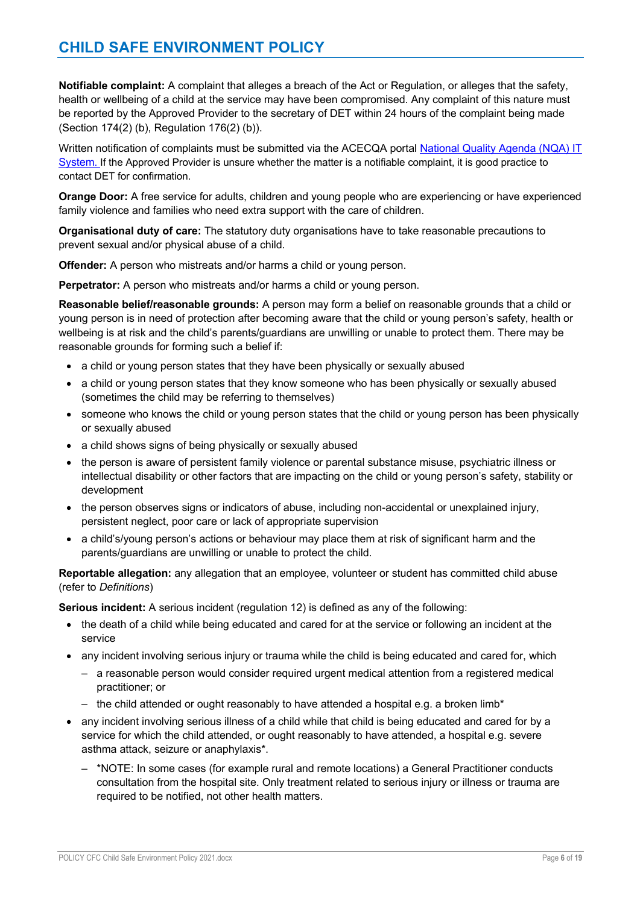## **CHILD SAFE ENVIRONMENT POLICY**

**Notifiable complaint:** A complaint that alleges a breach of the Act or Regulation, or alleges that the safety, health or wellbeing of a child at the service may have been compromised. Any complaint of this nature must be reported by the Approved Provider to the secretary of DET within 24 hours of the complaint being made (Section 174(2) (b), Regulation 176(2) (b)).

Written notification of complaints must be submitted via the ACECQA portal National Quality Agenda (NQA) IT System. If the Approved Provider is unsure whether the matter is a notifiable complaint, it is good practice to contact DET for confirmation.

**Orange Door:** A free service for adults, children and young people who are experiencing or have experienced family violence and families who need extra support with the care of children.

**Organisational duty of care:** The statutory duty organisations have to take reasonable precautions to prevent sexual and/or physical abuse of a child.

**Offender:** A person who mistreats and/or harms a child or young person.

**Perpetrator:** A person who mistreats and/or harms a child or young person.

**Reasonable belief/reasonable grounds:** A person may form a belief on reasonable grounds that a child or young person is in need of protection after becoming aware that the child or young person's safety, health or wellbeing is at risk and the child's parents/guardians are unwilling or unable to protect them. There may be reasonable grounds for forming such a belief if:

- a child or young person states that they have been physically or sexually abused
- a child or young person states that they know someone who has been physically or sexually abused (sometimes the child may be referring to themselves)
- someone who knows the child or young person states that the child or young person has been physically or sexually abused
- a child shows signs of being physically or sexually abused
- the person is aware of persistent family violence or parental substance misuse, psychiatric illness or intellectual disability or other factors that are impacting on the child or young person's safety, stability or development
- the person observes signs or indicators of abuse, including non-accidental or unexplained injury, persistent neglect, poor care or lack of appropriate supervision
- a child's/young person's actions or behaviour may place them at risk of significant harm and the parents/guardians are unwilling or unable to protect the child.

**Reportable allegation:** any allegation that an employee, volunteer or student has committed child abuse (refer to *Definitions*)

**Serious incident:** A serious incident (regulation 12) is defined as any of the following:

- the death of a child while being educated and cared for at the service or following an incident at the service
- any incident involving serious injury or trauma while the child is being educated and cared for, which
	- a reasonable person would consider required urgent medical attention from a registered medical practitioner; or
	- $-$  the child attended or ought reasonably to have attended a hospital e.g. a broken limb<sup>\*</sup>
- any incident involving serious illness of a child while that child is being educated and cared for by a service for which the child attended, or ought reasonably to have attended, a hospital e.g. severe asthma attack, seizure or anaphylaxis\*.
	- \*NOTE: In some cases (for example rural and remote locations) a General Practitioner conducts consultation from the hospital site. Only treatment related to serious injury or illness or trauma are required to be notified, not other health matters.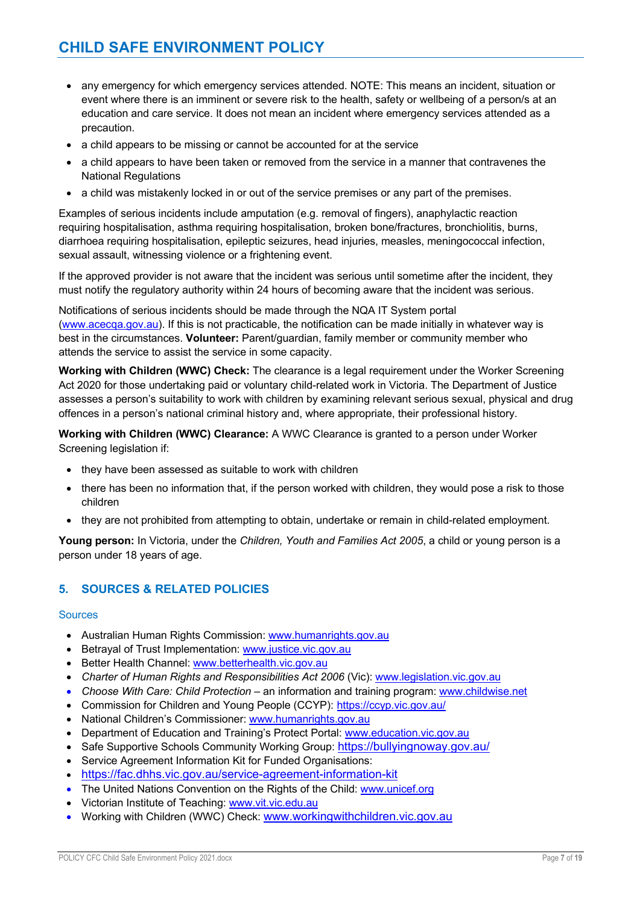- any emergency for which emergency services attended. NOTE: This means an incident, situation or event where there is an imminent or severe risk to the health, safety or wellbeing of a person/s at an education and care service. It does not mean an incident where emergency services attended as a precaution.
- a child appears to be missing or cannot be accounted for at the service
- a child appears to have been taken or removed from the service in a manner that contravenes the National Regulations
- a child was mistakenly locked in or out of the service premises or any part of the premises.

Examples of serious incidents include amputation (e.g. removal of fingers), anaphylactic reaction requiring hospitalisation, asthma requiring hospitalisation, broken bone/fractures, bronchiolitis, burns, diarrhoea requiring hospitalisation, epileptic seizures, head injuries, measles, meningococcal infection, sexual assault, witnessing violence or a frightening event.

If the approved provider is not aware that the incident was serious until sometime after the incident, they must notify the regulatory authority within 24 hours of becoming aware that the incident was serious.

Notifications of serious incidents should be made through the NQA IT System portal (www.acecqa.gov.au). If this is not practicable, the notification can be made initially in whatever way is best in the circumstances. **Volunteer:** Parent/guardian, family member or community member who attends the service to assist the service in some capacity.

**Working with Children (WWC) Check:** The clearance is a legal requirement under the Worker Screening Act 2020 for those undertaking paid or voluntary child-related work in Victoria. The Department of Justice assesses a person's suitability to work with children by examining relevant serious sexual, physical and drug offences in a person's national criminal history and, where appropriate, their professional history.

**Working with Children (WWC) Clearance:** A WWC Clearance is granted to a person under Worker Screening legislation if:

- they have been assessed as suitable to work with children
- there has been no information that, if the person worked with children, they would pose a risk to those children
- they are not prohibited from attempting to obtain, undertake or remain in child-related employment.

**Young person:** In Victoria, under the *Children, Youth and Families Act 2005*, a child or young person is a person under 18 years of age.

## **5. SOURCES & RELATED POLICIES**

#### **Sources**

- Australian Human Rights Commission: www.humanrights.gov.au
- Betrayal of Trust Implementation: www.justice.vic.gov.au
- Better Health Channel: www.betterhealth.vic.gov.au
- *Charter of Human Rights and Responsibilities Act 2006* (Vic): www.legislation.vic.gov.au
- *Choose With Care: Child Protection*  an information and training program: www.childwise.net
- Commission for Children and Young People (CCYP): https://ccyp.vic.gov.au/
- National Children's Commissioner: www.humanrights.gov.au
- Department of Education and Training's Protect Portal: www.education.vic.gov.au
- Safe Supportive Schools Community Working Group: https://bullyingnoway.gov.au/
- Service Agreement Information Kit for Funded Organisations:
- https://fac.dhhs.vic.gov.au/service-agreement-information-kit
- The United Nations Convention on the Rights of the Child: www.unicef.org
- Victorian Institute of Teaching: www.vit.vic.edu.au
- Working with Children (WWC) Check: www.workingwithchildren.vic.gov.au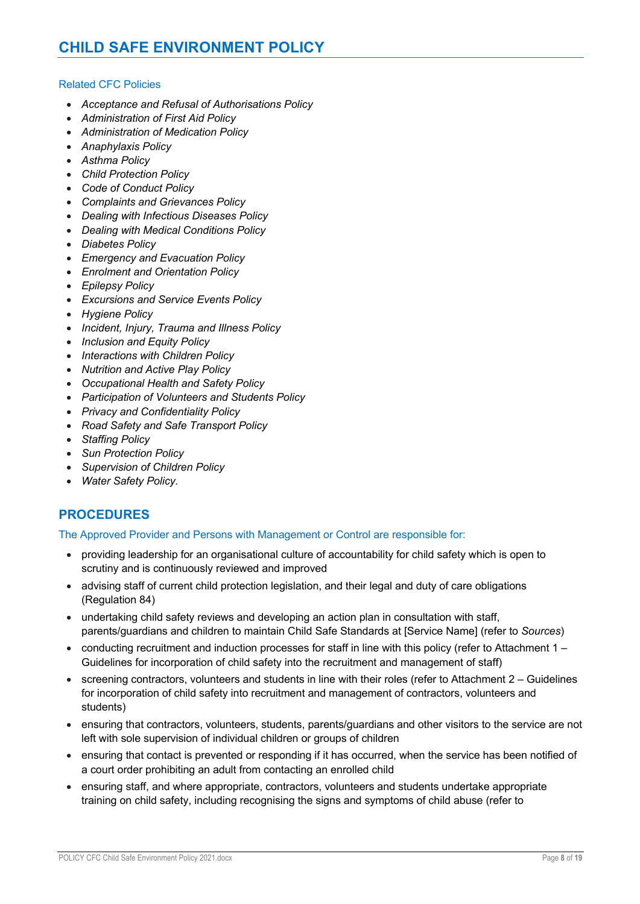#### Related CFC Policies

- *Acceptance and Refusal of Authorisations Policy*
- *Administration of First Aid Policy*
- *Administration of Medication Policy*
- *Anaphylaxis Policy*
- *Asthma Policy*
- *Child Protection Policy*
- *Code of Conduct Policy*
- *Complaints and Grievances Policy*
- *Dealing with Infectious Diseases Policy*
- *Dealing with Medical Conditions Policy*
- *Diabetes Policy*
- *Emergency and Evacuation Policy*
- *Enrolment and Orientation Policy*
- *Epilepsy Policy*
- *Excursions and Service Events Policy*
- *Hygiene Policy*
- *Incident, Injury, Trauma and Illness Policy*
- *Inclusion and Equity Policy*
- *Interactions with Children Policy*
- *Nutrition and Active Play Policy*
- *Occupational Health and Safety Policy*
- *Participation of Volunteers and Students Policy*
- *Privacy and Confidentiality Policy*
- *Road Safety and Safe Transport Policy*
- *Staffing Policy*
- *Sun Protection Policy*
- *Supervision of Children Policy*
- *Water Safety Policy.*

## **PROCEDURES**

#### The Approved Provider and Persons with Management or Control are responsible for:

- providing leadership for an organisational culture of accountability for child safety which is open to scrutiny and is continuously reviewed and improved
- advising staff of current child protection legislation, and their legal and duty of care obligations (Regulation 84)
- undertaking child safety reviews and developing an action plan in consultation with staff, parents/guardians and children to maintain Child Safe Standards at [Service Name] (refer to *Sources*)
- conducting recruitment and induction processes for staff in line with this policy (refer to Attachment  $1 -$ Guidelines for incorporation of child safety into the recruitment and management of staff)
- screening contractors, volunteers and students in line with their roles (refer to Attachment 2 Guidelines for incorporation of child safety into recruitment and management of contractors, volunteers and students)
- ensuring that contractors, volunteers, students, parents/guardians and other visitors to the service are not left with sole supervision of individual children or groups of children
- ensuring that contact is prevented or responding if it has occurred, when the service has been notified of a court order prohibiting an adult from contacting an enrolled child
- ensuring staff, and where appropriate, contractors, volunteers and students undertake appropriate training on child safety, including recognising the signs and symptoms of child abuse (refer to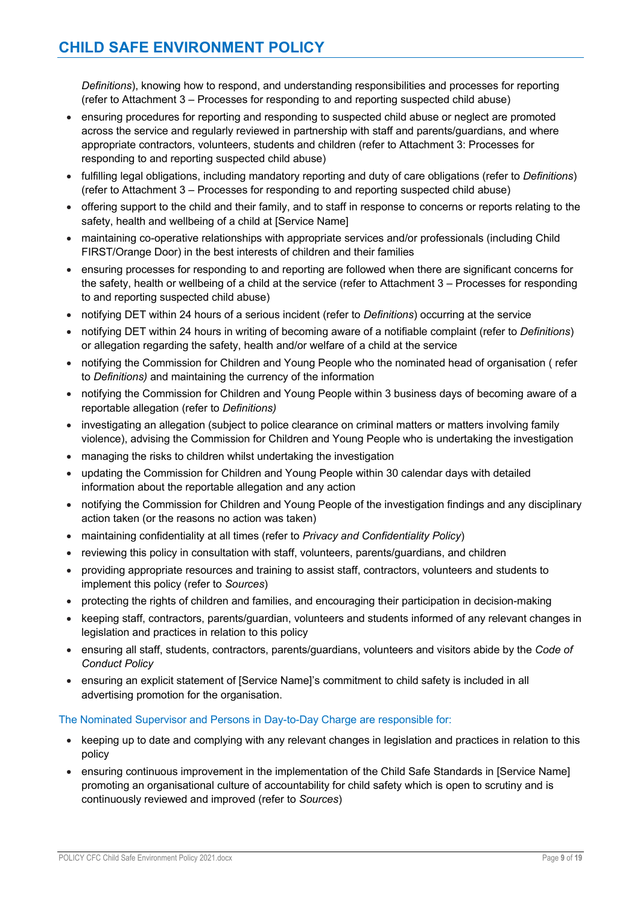*Definitions*), knowing how to respond, and understanding responsibilities and processes for reporting (refer to Attachment 3 – Processes for responding to and reporting suspected child abuse)

- ensuring procedures for reporting and responding to suspected child abuse or neglect are promoted across the service and regularly reviewed in partnership with staff and parents/guardians, and where appropriate contractors, volunteers, students and children (refer to Attachment 3: Processes for responding to and reporting suspected child abuse)
- fulfilling legal obligations, including mandatory reporting and duty of care obligations (refer to *Definitions*) (refer to Attachment 3 – Processes for responding to and reporting suspected child abuse)
- offering support to the child and their family, and to staff in response to concerns or reports relating to the safety, health and wellbeing of a child at [Service Name]
- maintaining co-operative relationships with appropriate services and/or professionals (including Child FIRST/Orange Door) in the best interests of children and their families
- ensuring processes for responding to and reporting are followed when there are significant concerns for the safety, health or wellbeing of a child at the service (refer to Attachment 3 – Processes for responding to and reporting suspected child abuse)
- notifying DET within 24 hours of a serious incident (refer to *Definitions*) occurring at the service
- notifying DET within 24 hours in writing of becoming aware of a notifiable complaint (refer to *Definitions*) or allegation regarding the safety, health and/or welfare of a child at the service
- notifying the Commission for Children and Young People who the nominated head of organisation (refer to *Definitions)* and maintaining the currency of the information
- notifying the Commission for Children and Young People within 3 business days of becoming aware of a reportable allegation (refer to *Definitions)*
- investigating an allegation (subject to police clearance on criminal matters or matters involving family violence), advising the Commission for Children and Young People who is undertaking the investigation
- managing the risks to children whilst undertaking the investigation
- updating the Commission for Children and Young People within 30 calendar days with detailed information about the reportable allegation and any action
- notifying the Commission for Children and Young People of the investigation findings and any disciplinary action taken (or the reasons no action was taken)
- maintaining confidentiality at all times (refer to *Privacy and Confidentiality Policy*)
- reviewing this policy in consultation with staff, volunteers, parents/guardians, and children
- providing appropriate resources and training to assist staff, contractors, volunteers and students to implement this policy (refer to *Sources*)
- protecting the rights of children and families, and encouraging their participation in decision-making
- keeping staff, contractors, parents/guardian, volunteers and students informed of any relevant changes in legislation and practices in relation to this policy
- ensuring all staff, students, contractors, parents/guardians, volunteers and visitors abide by the *Code of Conduct Policy*
- ensuring an explicit statement of [Service Name]'s commitment to child safety is included in all advertising promotion for the organisation.

#### The Nominated Supervisor and Persons in Day-to-Day Charge are responsible for:

- keeping up to date and complying with any relevant changes in legislation and practices in relation to this policy
- ensuring continuous improvement in the implementation of the Child Safe Standards in [Service Name] promoting an organisational culture of accountability for child safety which is open to scrutiny and is continuously reviewed and improved (refer to *Sources*)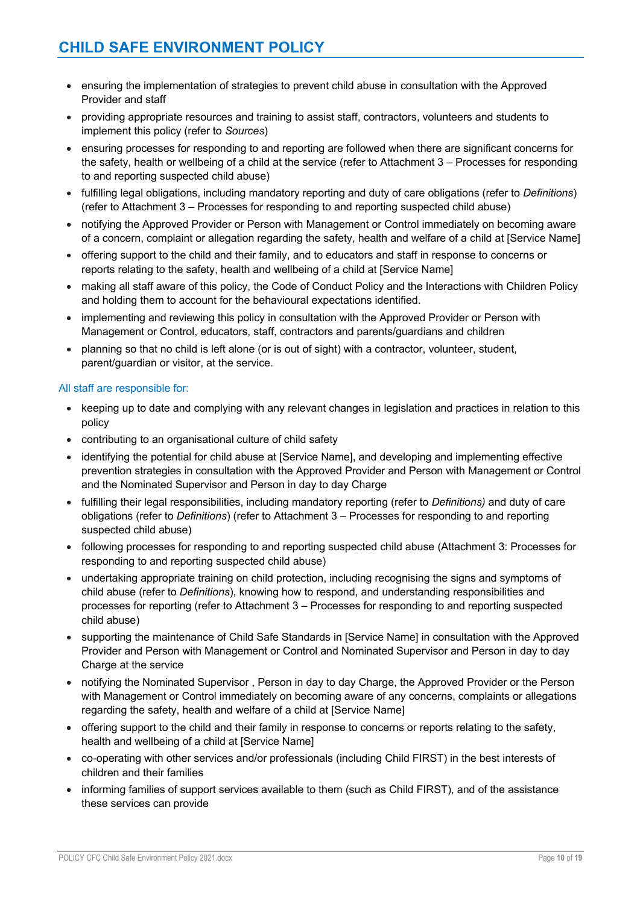- ensuring the implementation of strategies to prevent child abuse in consultation with the Approved Provider and staff
- providing appropriate resources and training to assist staff, contractors, volunteers and students to implement this policy (refer to *Sources*)
- ensuring processes for responding to and reporting are followed when there are significant concerns for the safety, health or wellbeing of a child at the service (refer to Attachment 3 – Processes for responding to and reporting suspected child abuse)
- fulfilling legal obligations, including mandatory reporting and duty of care obligations (refer to *Definitions*) (refer to Attachment 3 – Processes for responding to and reporting suspected child abuse)
- notifying the Approved Provider or Person with Management or Control immediately on becoming aware of a concern, complaint or allegation regarding the safety, health and welfare of a child at [Service Name]
- offering support to the child and their family, and to educators and staff in response to concerns or reports relating to the safety, health and wellbeing of a child at [Service Name]
- making all staff aware of this policy, the Code of Conduct Policy and the Interactions with Children Policy and holding them to account for the behavioural expectations identified.
- implementing and reviewing this policy in consultation with the Approved Provider or Person with Management or Control, educators, staff, contractors and parents/guardians and children
- planning so that no child is left alone (or is out of sight) with a contractor, volunteer, student, parent/guardian or visitor, at the service.

#### All staff are responsible for:

- keeping up to date and complying with any relevant changes in legislation and practices in relation to this policy
- contributing to an organisational culture of child safety
- identifying the potential for child abuse at [Service Name], and developing and implementing effective prevention strategies in consultation with the Approved Provider and Person with Management or Control and the Nominated Supervisor and Person in day to day Charge
- fulfilling their legal responsibilities, including mandatory reporting (refer to *Definitions)* and duty of care obligations (refer to *Definitions*) (refer to Attachment 3 – Processes for responding to and reporting suspected child abuse)
- following processes for responding to and reporting suspected child abuse (Attachment 3: Processes for responding to and reporting suspected child abuse)
- undertaking appropriate training on child protection, including recognising the signs and symptoms of child abuse (refer to *Definitions*), knowing how to respond, and understanding responsibilities and processes for reporting (refer to Attachment 3 – Processes for responding to and reporting suspected child abuse)
- supporting the maintenance of Child Safe Standards in [Service Name] in consultation with the Approved Provider and Person with Management or Control and Nominated Supervisor and Person in day to day Charge at the service
- notifying the Nominated Supervisor , Person in day to day Charge, the Approved Provider or the Person with Management or Control immediately on becoming aware of any concerns, complaints or allegations regarding the safety, health and welfare of a child at [Service Name]
- offering support to the child and their family in response to concerns or reports relating to the safety, health and wellbeing of a child at [Service Name]
- co-operating with other services and/or professionals (including Child FIRST) in the best interests of children and their families
- informing families of support services available to them (such as Child FIRST), and of the assistance these services can provide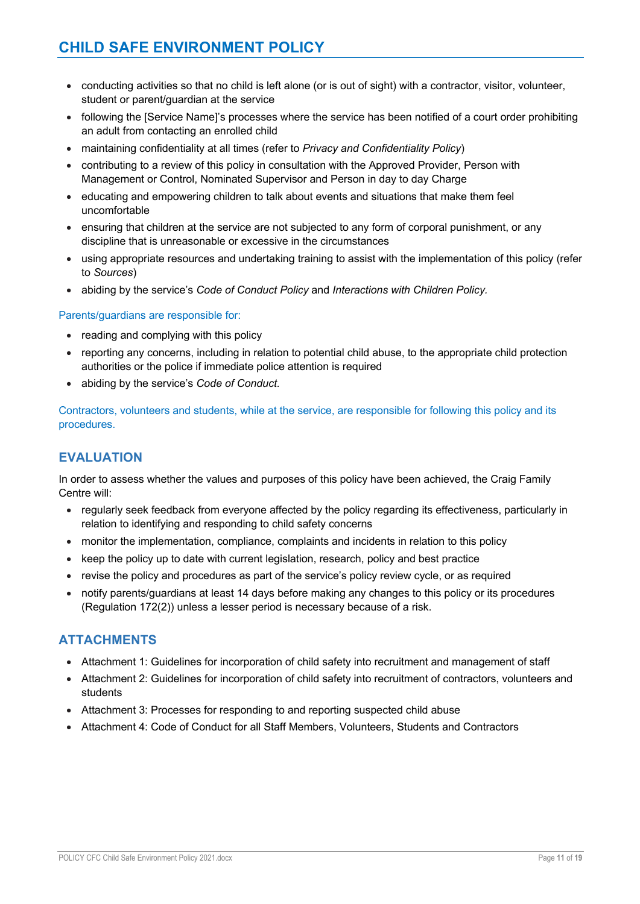- conducting activities so that no child is left alone (or is out of sight) with a contractor, visitor, volunteer, student or parent/guardian at the service
- following the [Service Name]'s processes where the service has been notified of a court order prohibiting an adult from contacting an enrolled child
- maintaining confidentiality at all times (refer to *Privacy and Confidentiality Policy*)
- contributing to a review of this policy in consultation with the Approved Provider, Person with Management or Control, Nominated Supervisor and Person in day to day Charge
- educating and empowering children to talk about events and situations that make them feel uncomfortable
- ensuring that children at the service are not subjected to any form of corporal punishment, or any discipline that is unreasonable or excessive in the circumstances
- using appropriate resources and undertaking training to assist with the implementation of this policy (refer to *Sources*)
- abiding by the service's *Code of Conduct Policy* and *Interactions with Children Policy.*

#### Parents/guardians are responsible for:

- reading and complying with this policy
- reporting any concerns, including in relation to potential child abuse, to the appropriate child protection authorities or the police if immediate police attention is required
- abiding by the service's *Code of Conduct.*

Contractors, volunteers and students, while at the service, are responsible for following this policy and its procedures.

## **EVALUATION**

In order to assess whether the values and purposes of this policy have been achieved, the Craig Family Centre will:

- regularly seek feedback from everyone affected by the policy regarding its effectiveness, particularly in relation to identifying and responding to child safety concerns
- monitor the implementation, compliance, complaints and incidents in relation to this policy
- keep the policy up to date with current legislation, research, policy and best practice
- revise the policy and procedures as part of the service's policy review cycle, or as required
- notify parents/guardians at least 14 days before making any changes to this policy or its procedures (Regulation 172(2)) unless a lesser period is necessary because of a risk.

## **ATTACHMENTS**

- Attachment 1: Guidelines for incorporation of child safety into recruitment and management of staff
- Attachment 2: Guidelines for incorporation of child safety into recruitment of contractors, volunteers and students
- Attachment 3: Processes for responding to and reporting suspected child abuse
- Attachment 4: Code of Conduct for all Staff Members, Volunteers, Students and Contractors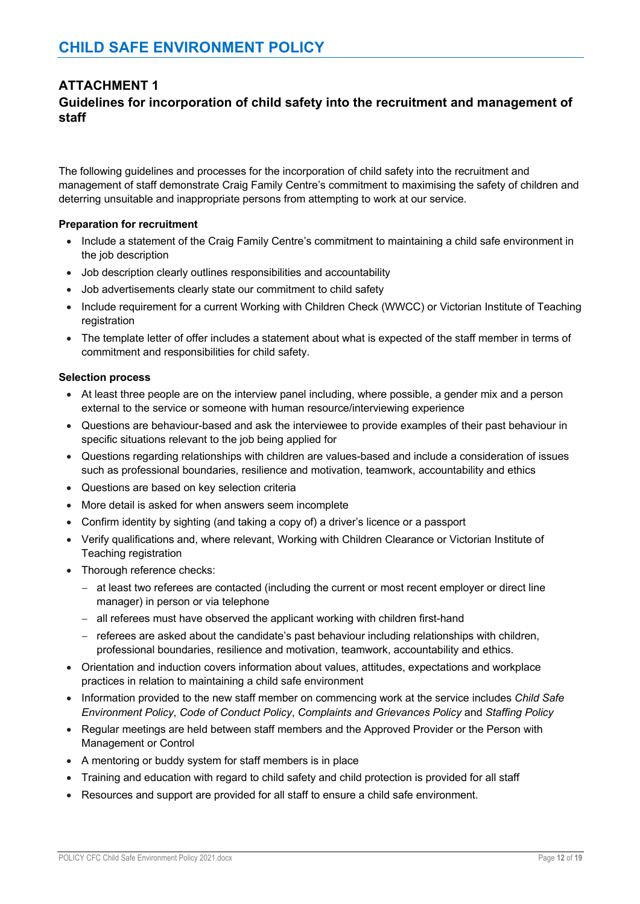## **ATTACHMENT 1**

## **Guidelines for incorporation of child safety into the recruitment and management of staff**

The following guidelines and processes for the incorporation of child safety into the recruitment and management of staff demonstrate Craig Family Centre's commitment to maximising the safety of children and deterring unsuitable and inappropriate persons from attempting to work at our service.

#### **Preparation for recruitment**

- Include a statement of the Craig Family Centre's commitment to maintaining a child safe environment in the job description
- Job description clearly outlines responsibilities and accountability
- Job advertisements clearly state our commitment to child safety
- Include requirement for a current Working with Children Check (WWCC) or Victorian Institute of Teaching registration
- The template letter of offer includes a statement about what is expected of the staff member in terms of commitment and responsibilities for child safety.

#### **Selection process**

- At least three people are on the interview panel including, where possible, a gender mix and a person external to the service or someone with human resource/interviewing experience
- Questions are behaviour-based and ask the interviewee to provide examples of their past behaviour in specific situations relevant to the job being applied for
- Questions regarding relationships with children are values-based and include a consideration of issues such as professional boundaries, resilience and motivation, teamwork, accountability and ethics
- Questions are based on key selection criteria
- More detail is asked for when answers seem incomplete
- Confirm identity by sighting (and taking a copy of) a driver's licence or a passport
- Verify qualifications and, where relevant, Working with Children Clearance or Victorian Institute of Teaching registration
- Thorough reference checks:
	- at least two referees are contacted (including the current or most recent employer or direct line manager) in person or via telephone
	- all referees must have observed the applicant working with children first-hand
	- referees are asked about the candidate's past behaviour including relationships with children, professional boundaries, resilience and motivation, teamwork, accountability and ethics.
- Orientation and induction covers information about values, attitudes, expectations and workplace practices in relation to maintaining a child safe environment
- Information provided to the new staff member on commencing work at the service includes *Child Safe Environment Policy*, *Code of Conduct Policy*, *Complaints and Grievances Policy* and *Staffing Policy*
- Regular meetings are held between staff members and the Approved Provider or the Person with Management or Control
- A mentoring or buddy system for staff members is in place
- Training and education with regard to child safety and child protection is provided for all staff
- Resources and support are provided for all staff to ensure a child safe environment.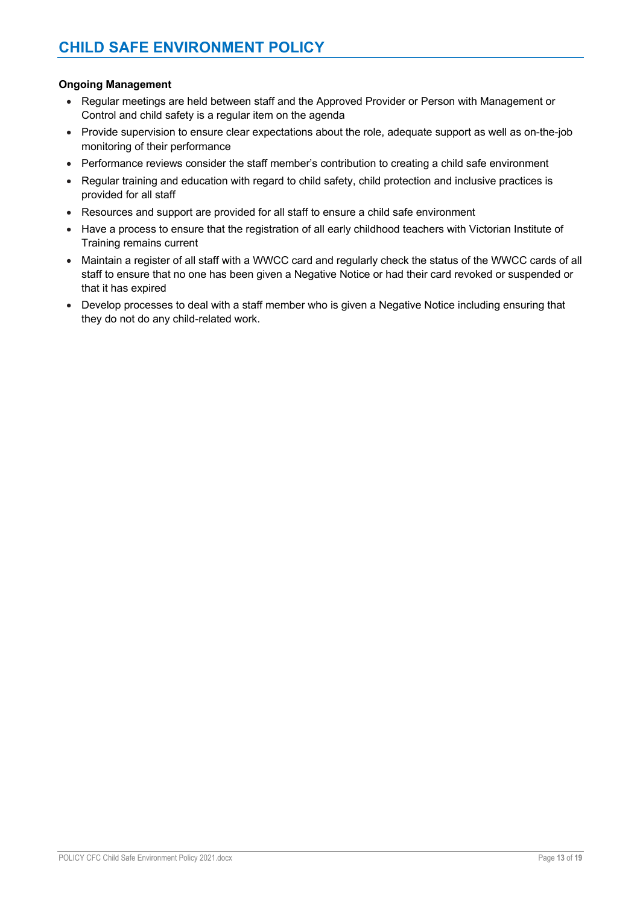#### **Ongoing Management**

- Regular meetings are held between staff and the Approved Provider or Person with Management or Control and child safety is a regular item on the agenda
- Provide supervision to ensure clear expectations about the role, adequate support as well as on-the-job monitoring of their performance
- Performance reviews consider the staff member's contribution to creating a child safe environment
- Regular training and education with regard to child safety, child protection and inclusive practices is provided for all staff
- Resources and support are provided for all staff to ensure a child safe environment
- Have a process to ensure that the registration of all early childhood teachers with Victorian Institute of Training remains current
- Maintain a register of all staff with a WWCC card and regularly check the status of the WWCC cards of all staff to ensure that no one has been given a Negative Notice or had their card revoked or suspended or that it has expired
- Develop processes to deal with a staff member who is given a Negative Notice including ensuring that they do not do any child-related work.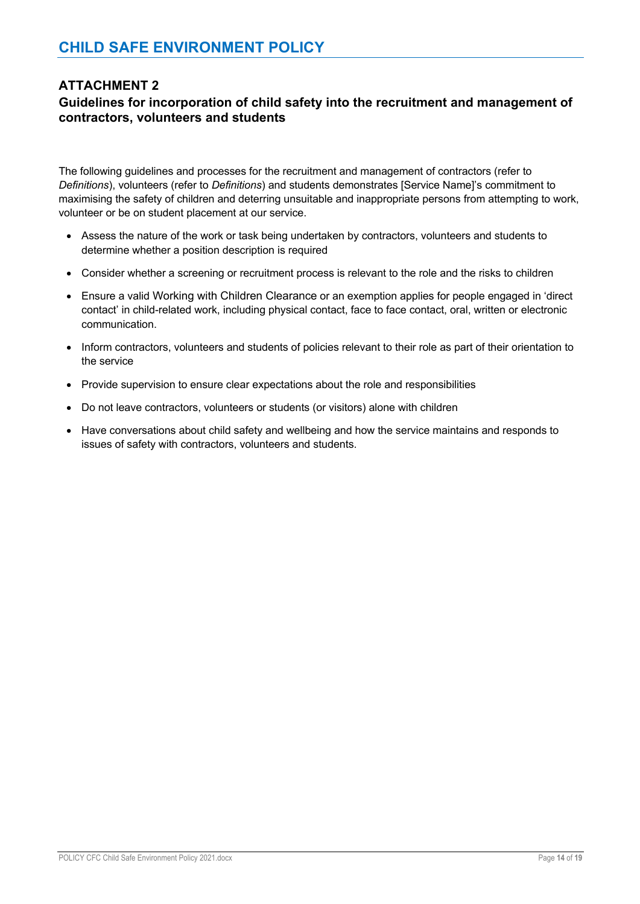## **ATTACHMENT 2**

## **Guidelines for incorporation of child safety into the recruitment and management of contractors, volunteers and students**

The following guidelines and processes for the recruitment and management of contractors (refer to *Definitions*), volunteers (refer to *Definitions*) and students demonstrates [Service Name]'s commitment to maximising the safety of children and deterring unsuitable and inappropriate persons from attempting to work, volunteer or be on student placement at our service.

- Assess the nature of the work or task being undertaken by contractors, volunteers and students to determine whether a position description is required
- Consider whether a screening or recruitment process is relevant to the role and the risks to children
- Ensure a valid Working with Children Clearance or an exemption applies for people engaged in 'direct contact' in child-related work, including physical contact, face to face contact, oral, written or electronic communication.
- Inform contractors, volunteers and students of policies relevant to their role as part of their orientation to the service
- Provide supervision to ensure clear expectations about the role and responsibilities
- Do not leave contractors, volunteers or students (or visitors) alone with children
- Have conversations about child safety and wellbeing and how the service maintains and responds to issues of safety with contractors, volunteers and students.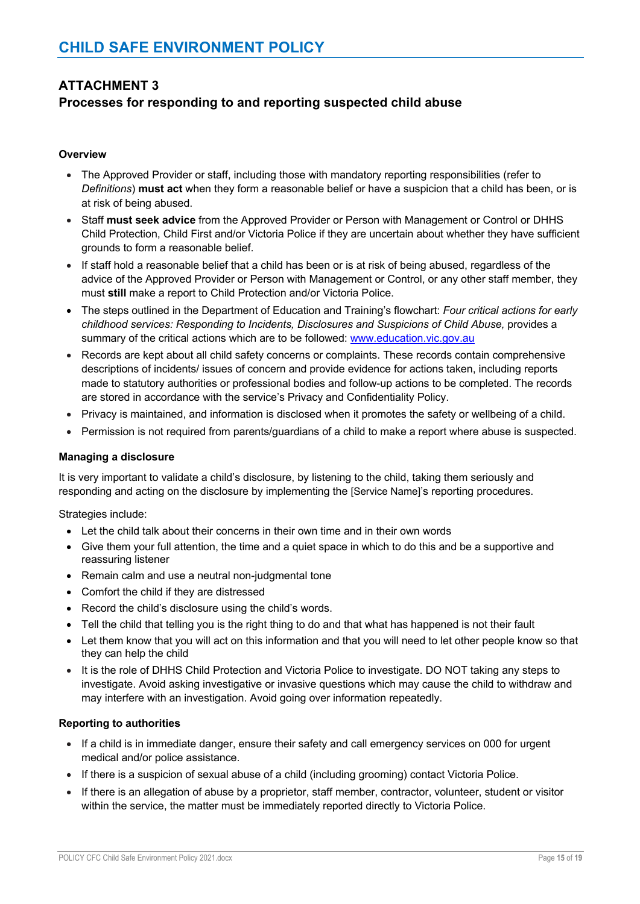## **ATTACHMENT 3**

## **Processes for responding to and reporting suspected child abuse**

#### **Overview**

- The Approved Provider or staff, including those with mandatory reporting responsibilities (refer to *Definitions*) **must act** when they form a reasonable belief or have a suspicion that a child has been, or is at risk of being abused.
- Staff **must seek advice** from the Approved Provider or Person with Management or Control or DHHS Child Protection, Child First and/or Victoria Police if they are uncertain about whether they have sufficient grounds to form a reasonable belief.
- If staff hold a reasonable belief that a child has been or is at risk of being abused, regardless of the advice of the Approved Provider or Person with Management or Control, or any other staff member, they must **still** make a report to Child Protection and/or Victoria Police.
- The steps outlined in the Department of Education and Training's flowchart: *Four critical actions for early childhood services: Responding to Incidents, Disclosures and Suspicions of Child Abuse,* provides a summary of the critical actions which are to be followed: www.education.vic.gov.au
- Records are kept about all child safety concerns or complaints. These records contain comprehensive descriptions of incidents/ issues of concern and provide evidence for actions taken, including reports made to statutory authorities or professional bodies and follow-up actions to be completed. The records are stored in accordance with the service's Privacy and Confidentiality Policy.
- Privacy is maintained, and information is disclosed when it promotes the safety or wellbeing of a child.
- Permission is not required from parents/guardians of a child to make a report where abuse is suspected.

#### **Managing a disclosure**

It is very important to validate a child's disclosure, by listening to the child, taking them seriously and responding and acting on the disclosure by implementing the [Service Name]'s reporting procedures.

Strategies include:

- Let the child talk about their concerns in their own time and in their own words
- Give them your full attention, the time and a quiet space in which to do this and be a supportive and reassuring listener
- Remain calm and use a neutral non-judgmental tone
- Comfort the child if they are distressed
- Record the child's disclosure using the child's words.
- Tell the child that telling you is the right thing to do and that what has happened is not their fault
- Let them know that you will act on this information and that you will need to let other people know so that they can help the child
- It is the role of DHHS Child Protection and Victoria Police to investigate. DO NOT taking any steps to investigate. Avoid asking investigative or invasive questions which may cause the child to withdraw and may interfere with an investigation. Avoid going over information repeatedly.

#### **Reporting to authorities**

- If a child is in immediate danger, ensure their safety and call emergency services on 000 for urgent medical and/or police assistance.
- If there is a suspicion of sexual abuse of a child (including grooming) contact Victoria Police.
- If there is an allegation of abuse by a proprietor, staff member, contractor, volunteer, student or visitor within the service, the matter must be immediately reported directly to Victoria Police.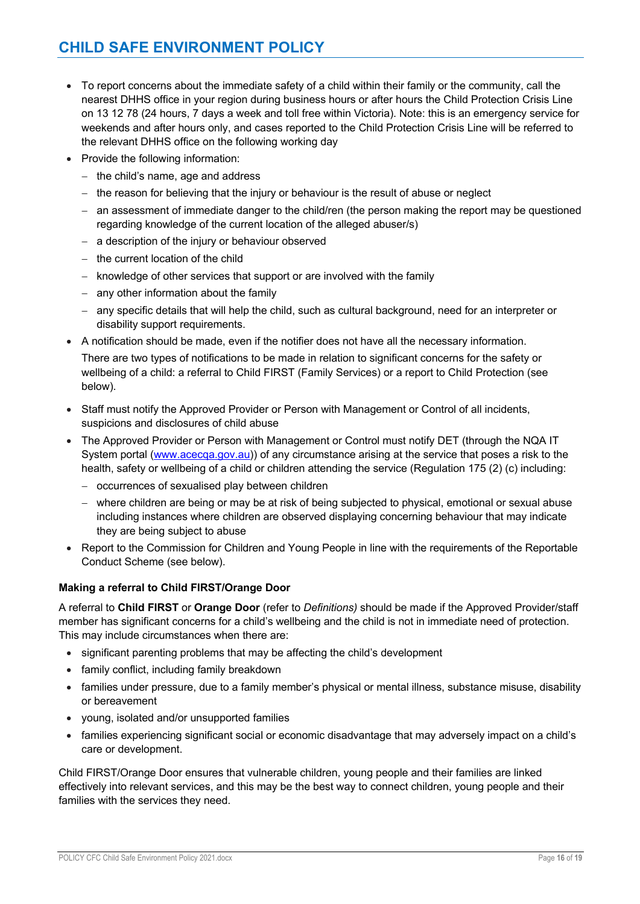# **CHILD SAFE ENVIRONMENT POLICY**

- To report concerns about the immediate safety of a child within their family or the community, call the nearest DHHS office in your region during business hours or after hours the Child Protection Crisis Line on 13 12 78 (24 hours, 7 days a week and toll free within Victoria). Note: this is an emergency service for weekends and after hours only, and cases reported to the Child Protection Crisis Line will be referred to the relevant DHHS office on the following working day
- Provide the following information:
	- the child's name, age and address
	- the reason for believing that the injury or behaviour is the result of abuse or neglect
	- an assessment of immediate danger to the child/ren (the person making the report may be questioned regarding knowledge of the current location of the alleged abuser/s)
	- a description of the injury or behaviour observed
	- the current location of the child

below).

- knowledge of other services that support or are involved with the family
- any other information about the family
- any specific details that will help the child, such as cultural background, need for an interpreter or disability support requirements.
- A notification should be made, even if the notifier does not have all the necessary information. There are two types of notifications to be made in relation to significant concerns for the safety or wellbeing of a child: a referral to Child FIRST (Family Services) or a report to Child Protection (see
- Staff must notify the Approved Provider or Person with Management or Control of all incidents, suspicions and disclosures of child abuse
- The Approved Provider or Person with Management or Control must notify DET (through the NQA IT System portal (www.acecqa.gov.au)) of any circumstance arising at the service that poses a risk to the health, safety or wellbeing of a child or children attending the service (Regulation 175 (2) (c) including:
	- occurrences of sexualised play between children
	- where children are being or may be at risk of being subjected to physical, emotional or sexual abuse including instances where children are observed displaying concerning behaviour that may indicate they are being subject to abuse
- Report to the Commission for Children and Young People in line with the requirements of the Reportable Conduct Scheme (see below).

#### **Making a referral to Child FIRST/Orange Door**

A referral to **Child FIRST** or **Orange Door** (refer to *Definitions)* should be made if the Approved Provider/staff member has significant concerns for a child's wellbeing and the child is not in immediate need of protection. This may include circumstances when there are:

- significant parenting problems that may be affecting the child's development
- family conflict, including family breakdown
- families under pressure, due to a family member's physical or mental illness, substance misuse, disability or bereavement
- young, isolated and/or unsupported families
- families experiencing significant social or economic disadvantage that may adversely impact on a child's care or development.

Child FIRST/Orange Door ensures that vulnerable children, young people and their families are linked effectively into relevant services, and this may be the best way to connect children, young people and their families with the services they need.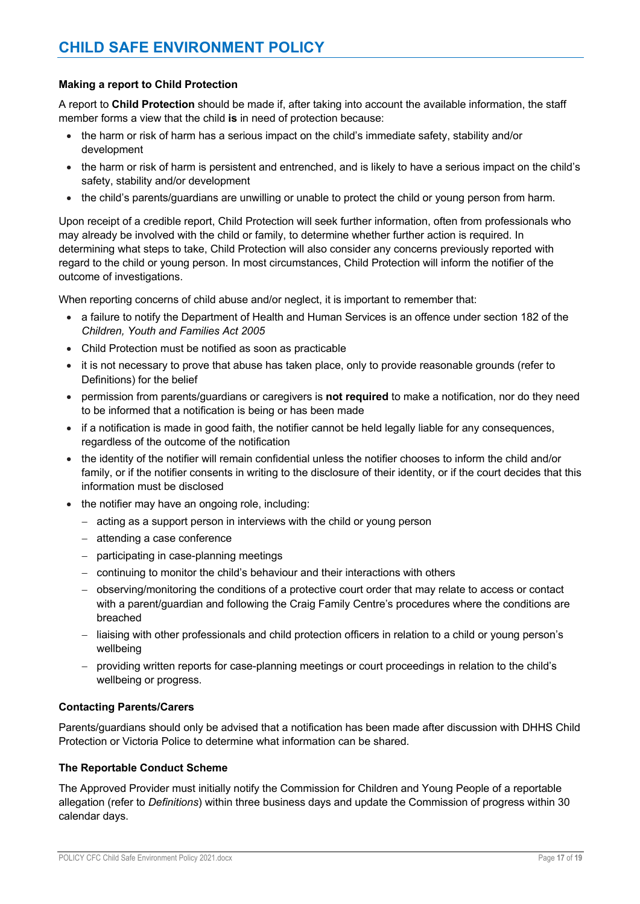#### **Making a report to Child Protection**

A report to **Child Protection** should be made if, after taking into account the available information, the staff member forms a view that the child **is** in need of protection because:

- the harm or risk of harm has a serious impact on the child's immediate safety, stability and/or development
- the harm or risk of harm is persistent and entrenched, and is likely to have a serious impact on the child's safety, stability and/or development
- the child's parents/guardians are unwilling or unable to protect the child or young person from harm.

Upon receipt of a credible report, Child Protection will seek further information, often from professionals who may already be involved with the child or family, to determine whether further action is required. In determining what steps to take, Child Protection will also consider any concerns previously reported with regard to the child or young person. In most circumstances, Child Protection will inform the notifier of the outcome of investigations.

When reporting concerns of child abuse and/or neglect, it is important to remember that:

- a failure to notify the Department of Health and Human Services is an offence under section 182 of the *Children, Youth and Families Act 2005*
- Child Protection must be notified as soon as practicable
- it is not necessary to prove that abuse has taken place, only to provide reasonable grounds (refer to Definitions) for the belief
- permission from parents/guardians or caregivers is **not required** to make a notification, nor do they need to be informed that a notification is being or has been made
- if a notification is made in good faith, the notifier cannot be held legally liable for any consequences, regardless of the outcome of the notification
- the identity of the notifier will remain confidential unless the notifier chooses to inform the child and/or family, or if the notifier consents in writing to the disclosure of their identity, or if the court decides that this information must be disclosed
- the notifier may have an ongoing role, including:
	- acting as a support person in interviews with the child or young person
	- attending a case conference
	- participating in case-planning meetings
	- continuing to monitor the child's behaviour and their interactions with others
	- observing/monitoring the conditions of a protective court order that may relate to access or contact with a parent/guardian and following the Craig Family Centre's procedures where the conditions are breached
	- liaising with other professionals and child protection officers in relation to a child or young person's wellbeing
	- providing written reports for case-planning meetings or court proceedings in relation to the child's wellbeing or progress.

#### **Contacting Parents/Carers**

Parents/guardians should only be advised that a notification has been made after discussion with DHHS Child Protection or Victoria Police to determine what information can be shared.

#### **The Reportable Conduct Scheme**

The Approved Provider must initially notify the Commission for Children and Young People of a reportable allegation (refer to *Definitions*) within three business days and update the Commission of progress within 30 calendar days.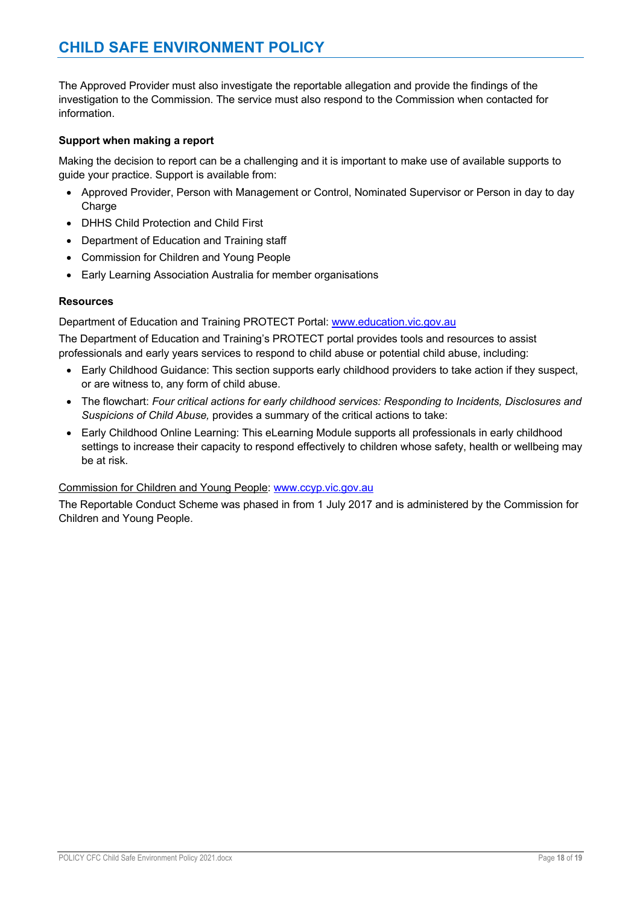# **CHILD SAFE ENVIRONMENT POLICY**

The Approved Provider must also investigate the reportable allegation and provide the findings of the investigation to the Commission. The service must also respond to the Commission when contacted for information.

#### **Support when making a report**

Making the decision to report can be a challenging and it is important to make use of available supports to guide your practice. Support is available from:

- Approved Provider, Person with Management or Control, Nominated Supervisor or Person in day to day Charge
- DHHS Child Protection and Child First
- Department of Education and Training staff
- Commission for Children and Young People
- Early Learning Association Australia for member organisations

#### **Resources**

Department of Education and Training PROTECT Portal: www.education.vic.gov.au

The Department of Education and Training's PROTECT portal provides tools and resources to assist professionals and early years services to respond to child abuse or potential child abuse, including:

- Early Childhood Guidance: This section supports early childhood providers to take action if they suspect, or are witness to, any form of child abuse.
- The flowchart: *Four critical actions for early childhood services: Responding to Incidents, Disclosures and Suspicions of Child Abuse,* provides a summary of the critical actions to take:
- Early Childhood Online Learning: This eLearning Module supports all professionals in early childhood settings to increase their capacity to respond effectively to children whose safety, health or wellbeing may be at risk.

#### Commission for Children and Young People: www.ccyp.vic.gov.au

The Reportable Conduct Scheme was phased in from 1 July 2017 and is administered by the Commission for Children and Young People.